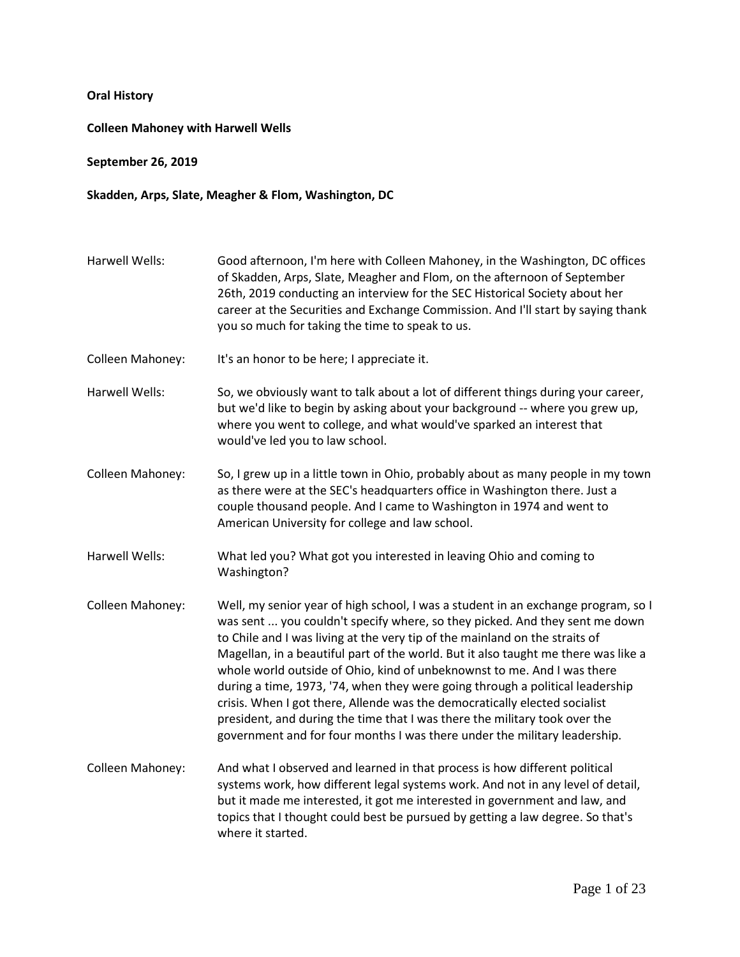## **Oral History**

## **Colleen Mahoney with Harwell Wells**

**September 26, 2019**

## **Skadden, Arps, Slate, Meagher & Flom, Washington, DC**

- Harwell Wells: Good afternoon, I'm here with Colleen Mahoney, in the Washington, DC offices of Skadden, Arps, Slate, Meagher and Flom, on the afternoon of September 26th, 2019 conducting an interview for the SEC Historical Society about her career at the Securities and Exchange Commission. And I'll start by saying thank you so much for taking the time to speak to us. Colleen Mahoney: It's an honor to be here; I appreciate it. Harwell Wells: So, we obviously want to talk about a lot of different things during your career, but we'd like to begin by asking about your background -- where you grew up, where you went to college, and what would've sparked an interest that would've led you to law school. Colleen Mahoney: So, I grew up in a little town in Ohio, probably about as many people in my town as there were at the SEC's headquarters office in Washington there. Just a couple thousand people. And I came to Washington in 1974 and went to American University for college and law school. Harwell Wells: What led you? What got you interested in leaving Ohio and coming to Washington? Colleen Mahoney: Well, my senior year of high school, I was a student in an exchange program, so I was sent ... you couldn't specify where, so they picked. And they sent me down to Chile and I was living at the very tip of the mainland on the straits of Magellan, in a beautiful part of the world. But it also taught me there was like a whole world outside of Ohio, kind of unbeknownst to me. And I was there during a time, 1973, '74, when they were going through a political leadership
	- crisis. When I got there, Allende was the democratically elected socialist president, and during the time that I was there the military took over the government and for four months I was there under the military leadership.
- Colleen Mahoney: And what I observed and learned in that process is how different political systems work, how different legal systems work. And not in any level of detail, but it made me interested, it got me interested in government and law, and topics that I thought could best be pursued by getting a law degree. So that's where it started.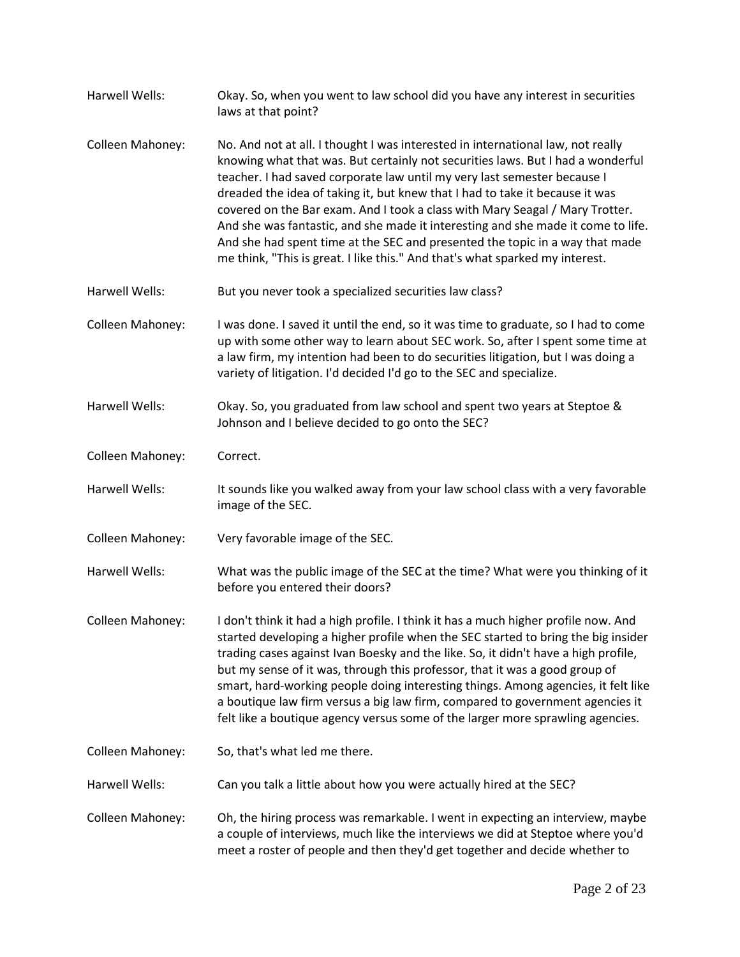| Harwell Wells:        | Okay. So, when you went to law school did you have any interest in securities<br>laws at that point?                                                                                                                                                                                                                                                                                                                                                                                                                                                                                                                                                               |
|-----------------------|--------------------------------------------------------------------------------------------------------------------------------------------------------------------------------------------------------------------------------------------------------------------------------------------------------------------------------------------------------------------------------------------------------------------------------------------------------------------------------------------------------------------------------------------------------------------------------------------------------------------------------------------------------------------|
| Colleen Mahoney:      | No. And not at all. I thought I was interested in international law, not really<br>knowing what that was. But certainly not securities laws. But I had a wonderful<br>teacher. I had saved corporate law until my very last semester because I<br>dreaded the idea of taking it, but knew that I had to take it because it was<br>covered on the Bar exam. And I took a class with Mary Seagal / Mary Trotter.<br>And she was fantastic, and she made it interesting and she made it come to life.<br>And she had spent time at the SEC and presented the topic in a way that made<br>me think, "This is great. I like this." And that's what sparked my interest. |
| Harwell Wells:        | But you never took a specialized securities law class?                                                                                                                                                                                                                                                                                                                                                                                                                                                                                                                                                                                                             |
| Colleen Mahoney:      | I was done. I saved it until the end, so it was time to graduate, so I had to come<br>up with some other way to learn about SEC work. So, after I spent some time at<br>a law firm, my intention had been to do securities litigation, but I was doing a<br>variety of litigation. I'd decided I'd go to the SEC and specialize.                                                                                                                                                                                                                                                                                                                                   |
| <b>Harwell Wells:</b> | Okay. So, you graduated from law school and spent two years at Steptoe &<br>Johnson and I believe decided to go onto the SEC?                                                                                                                                                                                                                                                                                                                                                                                                                                                                                                                                      |
| Colleen Mahoney:      | Correct.                                                                                                                                                                                                                                                                                                                                                                                                                                                                                                                                                                                                                                                           |
| Harwell Wells:        | It sounds like you walked away from your law school class with a very favorable<br>image of the SEC.                                                                                                                                                                                                                                                                                                                                                                                                                                                                                                                                                               |
| Colleen Mahoney:      | Very favorable image of the SEC.                                                                                                                                                                                                                                                                                                                                                                                                                                                                                                                                                                                                                                   |
| Harwell Wells:        | What was the public image of the SEC at the time? What were you thinking of it<br>before you entered their doors?                                                                                                                                                                                                                                                                                                                                                                                                                                                                                                                                                  |
| Colleen Mahoney:      | I don't think it had a high profile. I think it has a much higher profile now. And<br>started developing a higher profile when the SEC started to bring the big insider<br>trading cases against Ivan Boesky and the like. So, it didn't have a high profile,<br>but my sense of it was, through this professor, that it was a good group of<br>smart, hard-working people doing interesting things. Among agencies, it felt like<br>a boutique law firm versus a big law firm, compared to government agencies it<br>felt like a boutique agency versus some of the larger more sprawling agencies.                                                               |
| Colleen Mahoney:      | So, that's what led me there.                                                                                                                                                                                                                                                                                                                                                                                                                                                                                                                                                                                                                                      |
| Harwell Wells:        | Can you talk a little about how you were actually hired at the SEC?                                                                                                                                                                                                                                                                                                                                                                                                                                                                                                                                                                                                |
| Colleen Mahoney:      | Oh, the hiring process was remarkable. I went in expecting an interview, maybe<br>a couple of interviews, much like the interviews we did at Steptoe where you'd<br>meet a roster of people and then they'd get together and decide whether to                                                                                                                                                                                                                                                                                                                                                                                                                     |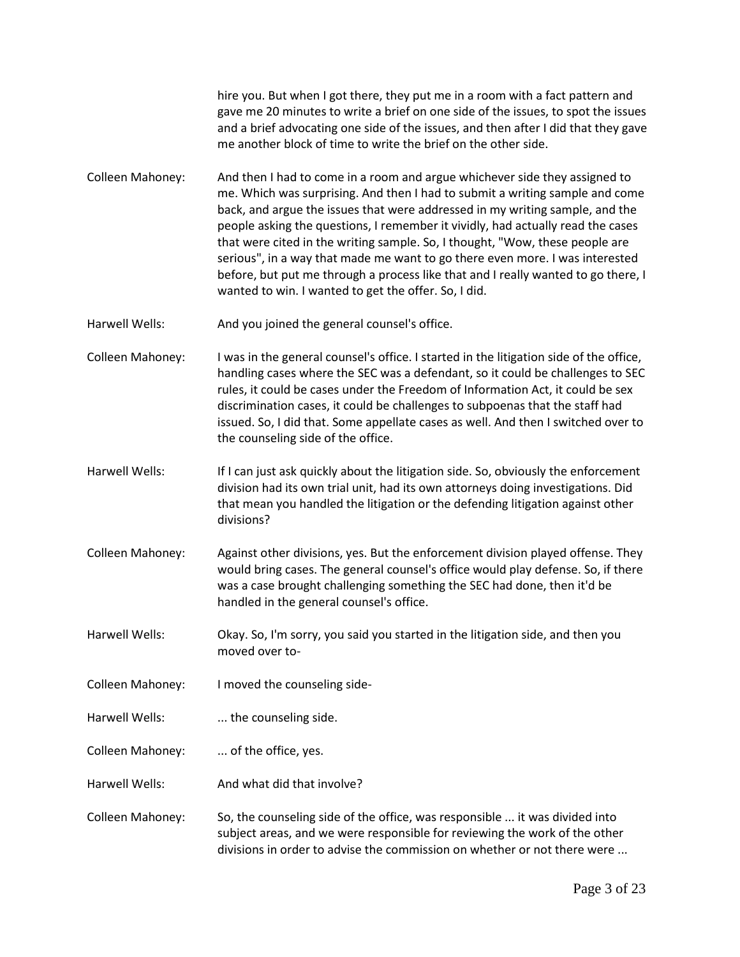hire you. But when I got there, they put me in a room with a fact pattern and gave me 20 minutes to write a brief on one side of the issues, to spot the issues and a brief advocating one side of the issues, and then after I did that they gave me another block of time to write the brief on the other side.

- Colleen Mahoney: And then I had to come in a room and argue whichever side they assigned to me. Which was surprising. And then I had to submit a writing sample and come back, and argue the issues that were addressed in my writing sample, and the people asking the questions, I remember it vividly, had actually read the cases that were cited in the writing sample. So, I thought, "Wow, these people are serious", in a way that made me want to go there even more. I was interested before, but put me through a process like that and I really wanted to go there, I wanted to win. I wanted to get the offer. So, I did.
- Harwell Wells: And you joined the general counsel's office.
- Colleen Mahoney: I was in the general counsel's office. I started in the litigation side of the office, handling cases where the SEC was a defendant, so it could be challenges to SEC rules, it could be cases under the Freedom of Information Act, it could be sex discrimination cases, it could be challenges to subpoenas that the staff had issued. So, I did that. Some appellate cases as well. And then I switched over to the counseling side of the office.
- Harwell Wells: If I can just ask quickly about the litigation side. So, obviously the enforcement division had its own trial unit, had its own attorneys doing investigations. Did that mean you handled the litigation or the defending litigation against other divisions?
- Colleen Mahoney: Against other divisions, yes. But the enforcement division played offense. They would bring cases. The general counsel's office would play defense. So, if there was a case brought challenging something the SEC had done, then it'd be handled in the general counsel's office.
- Harwell Wells: Okay. So, I'm sorry, you said you started in the litigation side, and then you moved over to-
- Colleen Mahoney: I moved the counseling side-
- Harwell Wells: .... the counseling side.
- Colleen Mahoney: ... of the office, yes.
- Harwell Wells: And what did that involve?
- Colleen Mahoney: So, the counseling side of the office, was responsible ... it was divided into subject areas, and we were responsible for reviewing the work of the other divisions in order to advise the commission on whether or not there were ...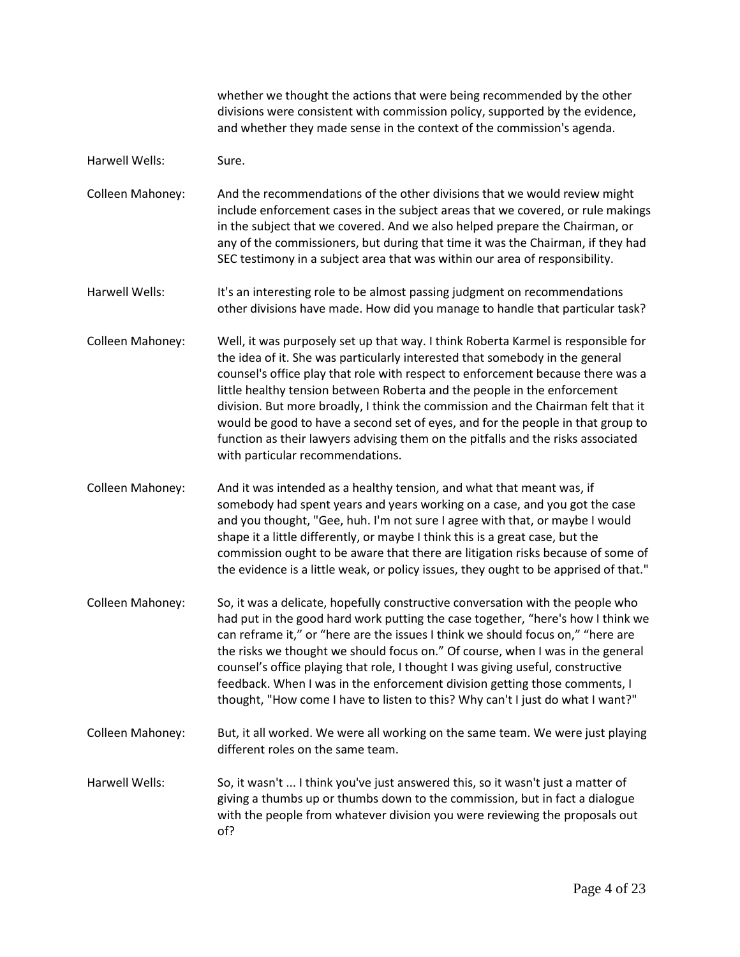whether we thought the actions that were being recommended by the other divisions were consistent with commission policy, supported by the evidence, and whether they made sense in the context of the commission's agenda.

Harwell Wells: Sure.

Colleen Mahoney: And the recommendations of the other divisions that we would review might include enforcement cases in the subject areas that we covered, or rule makings in the subject that we covered. And we also helped prepare the Chairman, or any of the commissioners, but during that time it was the Chairman, if they had SEC testimony in a subject area that was within our area of responsibility.

Harwell Wells: It's an interesting role to be almost passing judgment on recommendations other divisions have made. How did you manage to handle that particular task?

Colleen Mahoney: Well, it was purposely set up that way. I think Roberta Karmel is responsible for the idea of it. She was particularly interested that somebody in the general counsel's office play that role with respect to enforcement because there was a little healthy tension between Roberta and the people in the enforcement division. But more broadly, I think the commission and the Chairman felt that it would be good to have a second set of eyes, and for the people in that group to function as their lawyers advising them on the pitfalls and the risks associated with particular recommendations.

Colleen Mahoney: And it was intended as a healthy tension, and what that meant was, if somebody had spent years and years working on a case, and you got the case and you thought, "Gee, huh. I'm not sure I agree with that, or maybe I would shape it a little differently, or maybe I think this is a great case, but the commission ought to be aware that there are litigation risks because of some of the evidence is a little weak, or policy issues, they ought to be apprised of that."

- Colleen Mahoney: So, it was a delicate, hopefully constructive conversation with the people who had put in the good hard work putting the case together, "here's how I think we can reframe it," or "here are the issues I think we should focus on," "here are the risks we thought we should focus on." Of course, when I was in the general counsel's office playing that role, I thought I was giving useful, constructive feedback. When I was in the enforcement division getting those comments, I thought, "How come I have to listen to this? Why can't I just do what I want?"
- Colleen Mahoney: But, it all worked. We were all working on the same team. We were just playing different roles on the same team.
- Harwell Wells: So, it wasn't ... I think you've just answered this, so it wasn't just a matter of giving a thumbs up or thumbs down to the commission, but in fact a dialogue with the people from whatever division you were reviewing the proposals out of?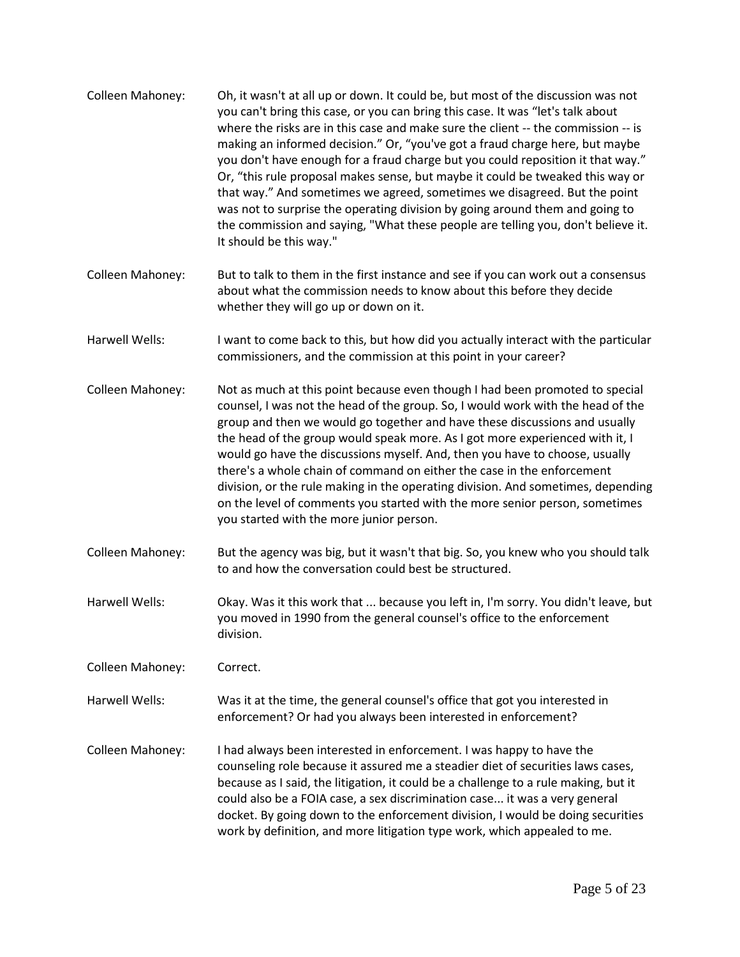- Colleen Mahoney: Oh, it wasn't at all up or down. It could be, but most of the discussion was not you can't bring this case, or you can bring this case. It was "let's talk about where the risks are in this case and make sure the client -- the commission -- is making an informed decision." Or, "you've got a fraud charge here, but maybe you don't have enough for a fraud charge but you could reposition it that way." Or, "this rule proposal makes sense, but maybe it could be tweaked this way or that way." And sometimes we agreed, sometimes we disagreed. But the point was not to surprise the operating division by going around them and going to the commission and saying, "What these people are telling you, don't believe it. It should be this way."
- Colleen Mahoney: But to talk to them in the first instance and see if you can work out a consensus about what the commission needs to know about this before they decide whether they will go up or down on it.
- Harwell Wells: I want to come back to this, but how did you actually interact with the particular commissioners, and the commission at this point in your career?
- Colleen Mahoney: Not as much at this point because even though I had been promoted to special counsel, I was not the head of the group. So, I would work with the head of the group and then we would go together and have these discussions and usually the head of the group would speak more. As I got more experienced with it, I would go have the discussions myself. And, then you have to choose, usually there's a whole chain of command on either the case in the enforcement division, or the rule making in the operating division. And sometimes, depending on the level of comments you started with the more senior person, sometimes you started with the more junior person.
- Colleen Mahoney: But the agency was big, but it wasn't that big. So, you knew who you should talk to and how the conversation could best be structured.
- Harwell Wells: Okay. Was it this work that ... because you left in, I'm sorry. You didn't leave, but you moved in 1990 from the general counsel's office to the enforcement division.

Colleen Mahoney: Correct.

Harwell Wells: Was it at the time, the general counsel's office that got you interested in enforcement? Or had you always been interested in enforcement?

Colleen Mahoney: I had always been interested in enforcement. I was happy to have the counseling role because it assured me a steadier diet of securities laws cases, because as I said, the litigation, it could be a challenge to a rule making, but it could also be a FOIA case, a sex discrimination case... it was a very general docket. By going down to the enforcement division, I would be doing securities work by definition, and more litigation type work, which appealed to me.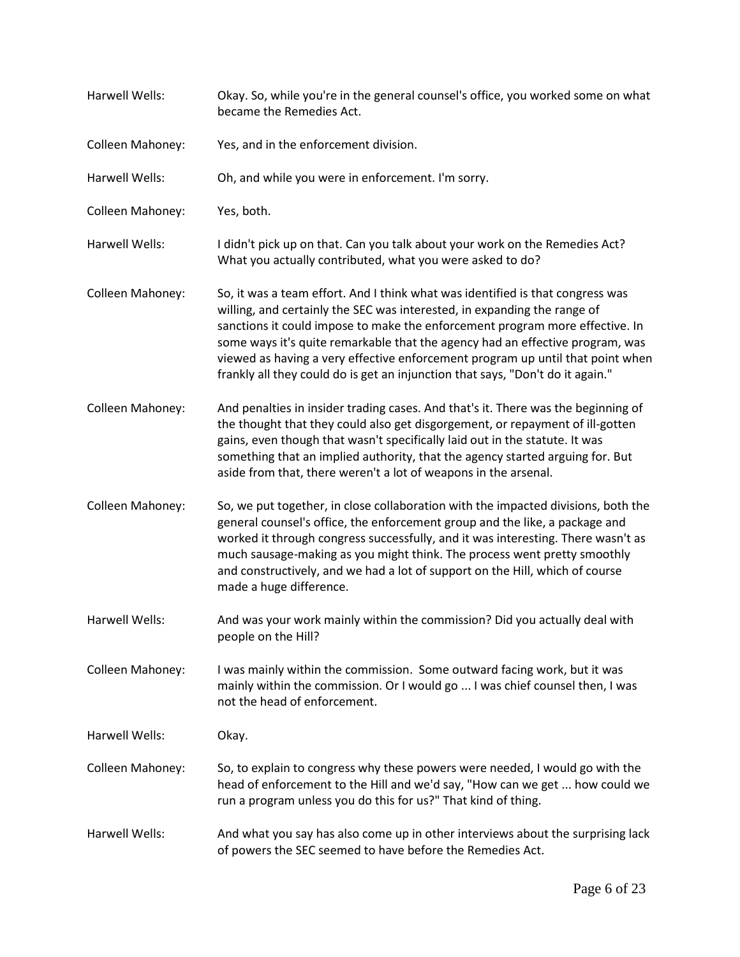| Harwell Wells:   | Okay. So, while you're in the general counsel's office, you worked some on what<br>became the Remedies Act.                                                                                                                                                                                                                                                                                                                                                                                     |
|------------------|-------------------------------------------------------------------------------------------------------------------------------------------------------------------------------------------------------------------------------------------------------------------------------------------------------------------------------------------------------------------------------------------------------------------------------------------------------------------------------------------------|
| Colleen Mahoney: | Yes, and in the enforcement division.                                                                                                                                                                                                                                                                                                                                                                                                                                                           |
| Harwell Wells:   | Oh, and while you were in enforcement. I'm sorry.                                                                                                                                                                                                                                                                                                                                                                                                                                               |
| Colleen Mahoney: | Yes, both.                                                                                                                                                                                                                                                                                                                                                                                                                                                                                      |
| Harwell Wells:   | I didn't pick up on that. Can you talk about your work on the Remedies Act?<br>What you actually contributed, what you were asked to do?                                                                                                                                                                                                                                                                                                                                                        |
| Colleen Mahoney: | So, it was a team effort. And I think what was identified is that congress was<br>willing, and certainly the SEC was interested, in expanding the range of<br>sanctions it could impose to make the enforcement program more effective. In<br>some ways it's quite remarkable that the agency had an effective program, was<br>viewed as having a very effective enforcement program up until that point when<br>frankly all they could do is get an injunction that says, "Don't do it again." |
| Colleen Mahoney: | And penalties in insider trading cases. And that's it. There was the beginning of<br>the thought that they could also get disgorgement, or repayment of ill-gotten<br>gains, even though that wasn't specifically laid out in the statute. It was<br>something that an implied authority, that the agency started arguing for. But<br>aside from that, there weren't a lot of weapons in the arsenal.                                                                                           |
| Colleen Mahoney: | So, we put together, in close collaboration with the impacted divisions, both the<br>general counsel's office, the enforcement group and the like, a package and<br>worked it through congress successfully, and it was interesting. There wasn't as<br>much sausage-making as you might think. The process went pretty smoothly<br>and constructively, and we had a lot of support on the Hill, which of course<br>made a huge difference.                                                     |
| Harwell Wells:   | And was your work mainly within the commission? Did you actually deal with<br>people on the Hill?                                                                                                                                                                                                                                                                                                                                                                                               |
| Colleen Mahoney: | I was mainly within the commission. Some outward facing work, but it was<br>mainly within the commission. Or I would go  I was chief counsel then, I was<br>not the head of enforcement.                                                                                                                                                                                                                                                                                                        |
| Harwell Wells:   | Okay.                                                                                                                                                                                                                                                                                                                                                                                                                                                                                           |
| Colleen Mahoney: | So, to explain to congress why these powers were needed, I would go with the<br>head of enforcement to the Hill and we'd say, "How can we get  how could we<br>run a program unless you do this for us?" That kind of thing.                                                                                                                                                                                                                                                                    |
| Harwell Wells:   | And what you say has also come up in other interviews about the surprising lack<br>of powers the SEC seemed to have before the Remedies Act.                                                                                                                                                                                                                                                                                                                                                    |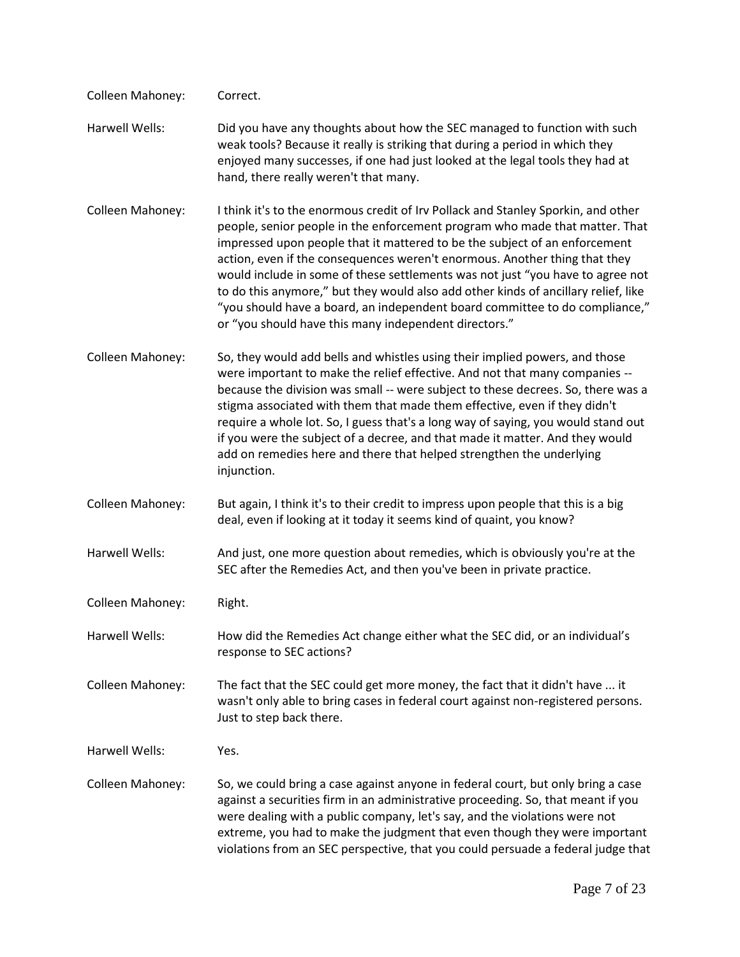| Colleen Mahoney: | Correct.                                                                                                                                                                                                                                                                                                                                                                                                                                                                                                                                                                                                                                     |
|------------------|----------------------------------------------------------------------------------------------------------------------------------------------------------------------------------------------------------------------------------------------------------------------------------------------------------------------------------------------------------------------------------------------------------------------------------------------------------------------------------------------------------------------------------------------------------------------------------------------------------------------------------------------|
| Harwell Wells:   | Did you have any thoughts about how the SEC managed to function with such<br>weak tools? Because it really is striking that during a period in which they<br>enjoyed many successes, if one had just looked at the legal tools they had at<br>hand, there really weren't that many.                                                                                                                                                                                                                                                                                                                                                          |
| Colleen Mahoney: | I think it's to the enormous credit of Irv Pollack and Stanley Sporkin, and other<br>people, senior people in the enforcement program who made that matter. That<br>impressed upon people that it mattered to be the subject of an enforcement<br>action, even if the consequences weren't enormous. Another thing that they<br>would include in some of these settlements was not just "you have to agree not<br>to do this anymore," but they would also add other kinds of ancillary relief, like<br>"you should have a board, an independent board committee to do compliance,"<br>or "you should have this many independent directors." |
| Colleen Mahoney: | So, they would add bells and whistles using their implied powers, and those<br>were important to make the relief effective. And not that many companies --<br>because the division was small -- were subject to these decrees. So, there was a<br>stigma associated with them that made them effective, even if they didn't<br>require a whole lot. So, I guess that's a long way of saying, you would stand out<br>if you were the subject of a decree, and that made it matter. And they would<br>add on remedies here and there that helped strengthen the underlying<br>injunction.                                                      |
| Colleen Mahoney: | But again, I think it's to their credit to impress upon people that this is a big<br>deal, even if looking at it today it seems kind of quaint, you know?                                                                                                                                                                                                                                                                                                                                                                                                                                                                                    |
| Harwell Wells:   | And just, one more question about remedies, which is obviously you're at the<br>SEC after the Remedies Act, and then you've been in private practice.                                                                                                                                                                                                                                                                                                                                                                                                                                                                                        |
| Colleen Mahoney: | Right.                                                                                                                                                                                                                                                                                                                                                                                                                                                                                                                                                                                                                                       |
| Harwell Wells:   | How did the Remedies Act change either what the SEC did, or an individual's<br>response to SEC actions?                                                                                                                                                                                                                                                                                                                                                                                                                                                                                                                                      |
| Colleen Mahoney: | The fact that the SEC could get more money, the fact that it didn't have  it<br>wasn't only able to bring cases in federal court against non-registered persons.<br>Just to step back there.                                                                                                                                                                                                                                                                                                                                                                                                                                                 |
| Harwell Wells:   | Yes.                                                                                                                                                                                                                                                                                                                                                                                                                                                                                                                                                                                                                                         |
| Colleen Mahoney: | So, we could bring a case against anyone in federal court, but only bring a case<br>against a securities firm in an administrative proceeding. So, that meant if you<br>were dealing with a public company, let's say, and the violations were not<br>extreme, you had to make the judgment that even though they were important<br>violations from an SEC perspective, that you could persuade a federal judge that                                                                                                                                                                                                                         |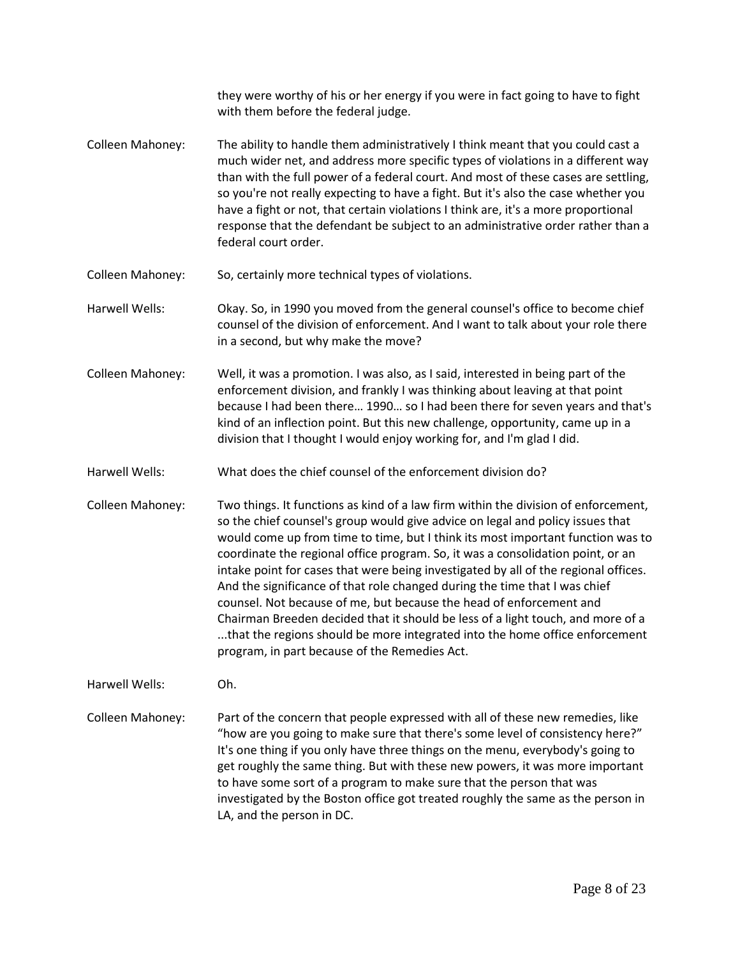they were worthy of his or her energy if you were in fact going to have to fight with them before the federal judge. Colleen Mahoney: The ability to handle them administratively I think meant that you could cast a much wider net, and address more specific types of violations in a different way than with the full power of a federal court. And most of these cases are settling, so you're not really expecting to have a fight. But it's also the case whether you have a fight or not, that certain violations I think are, it's a more proportional response that the defendant be subject to an administrative order rather than a federal court order. Colleen Mahoney: So, certainly more technical types of violations. Harwell Wells: Okay. So, in 1990 you moved from the general counsel's office to become chief counsel of the division of enforcement. And I want to talk about your role there

- Colleen Mahoney: Well, it was a promotion. I was also, as I said, interested in being part of the enforcement division, and frankly I was thinking about leaving at that point because I had been there… 1990… so I had been there for seven years and that's kind of an inflection point. But this new challenge, opportunity, came up in a division that I thought I would enjoy working for, and I'm glad I did.
- Harwell Wells: What does the chief counsel of the enforcement division do?

in a second, but why make the move?

Colleen Mahoney: Two things. It functions as kind of a law firm within the division of enforcement, so the chief counsel's group would give advice on legal and policy issues that would come up from time to time, but I think its most important function was to coordinate the regional office program. So, it was a consolidation point, or an intake point for cases that were being investigated by all of the regional offices. And the significance of that role changed during the time that I was chief counsel. Not because of me, but because the head of enforcement and Chairman Breeden decided that it should be less of a light touch, and more of a ...that the regions should be more integrated into the home office enforcement program, in part because of the Remedies Act.

Harwell Wells: Oh.

Colleen Mahoney: Part of the concern that people expressed with all of these new remedies, like "how are you going to make sure that there's some level of consistency here?" It's one thing if you only have three things on the menu, everybody's going to get roughly the same thing. But with these new powers, it was more important to have some sort of a program to make sure that the person that was investigated by the Boston office got treated roughly the same as the person in LA, and the person in DC.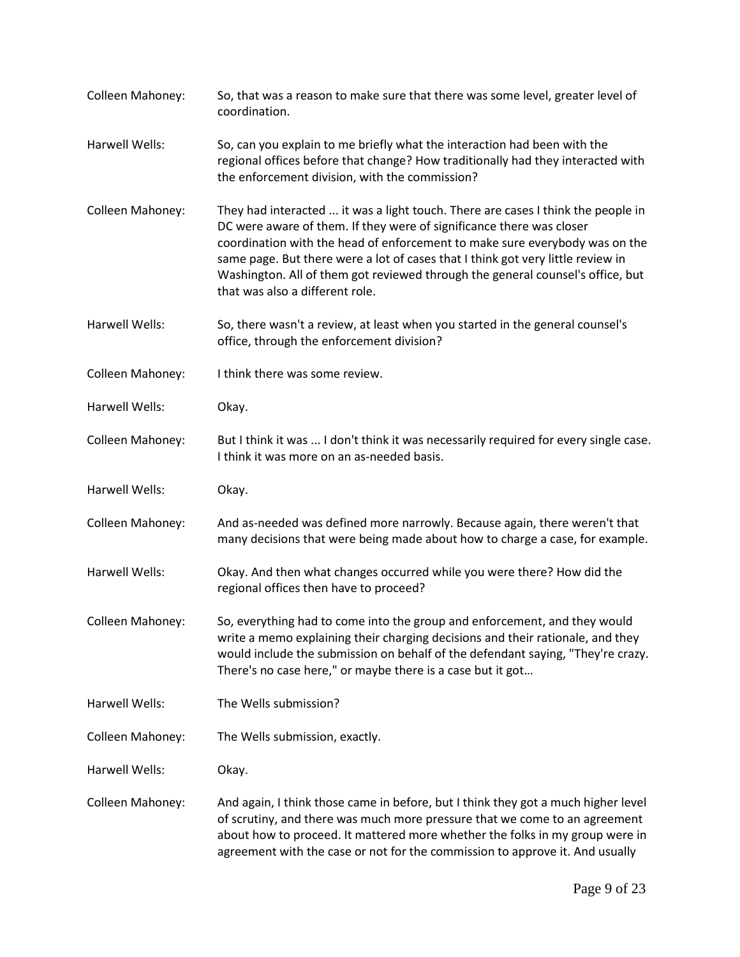Colleen Mahoney: So, that was a reason to make sure that there was some level, greater level of coordination. Harwell Wells: So, can you explain to me briefly what the interaction had been with the regional offices before that change? How traditionally had they interacted with the enforcement division, with the commission? Colleen Mahoney: They had interacted ... it was a light touch. There are cases I think the people in DC were aware of them. If they were of significance there was closer coordination with the head of enforcement to make sure everybody was on the same page. But there were a lot of cases that I think got very little review in Washington. All of them got reviewed through the general counsel's office, but that was also a different role. Harwell Wells: So, there wasn't a review, at least when you started in the general counsel's office, through the enforcement division? Colleen Mahoney: I think there was some review. Harwell Wells: Okay. Colleen Mahoney: But I think it was ... I don't think it was necessarily required for every single case. I think it was more on an as-needed basis. Harwell Wells: Okay. Colleen Mahoney: And as-needed was defined more narrowly. Because again, there weren't that many decisions that were being made about how to charge a case, for example. Harwell Wells: Okay. And then what changes occurred while you were there? How did the regional offices then have to proceed? Colleen Mahoney: So, everything had to come into the group and enforcement, and they would write a memo explaining their charging decisions and their rationale, and they would include the submission on behalf of the defendant saying, "They're crazy. There's no case here," or maybe there is a case but it got… Harwell Wells: The Wells submission? Colleen Mahoney: The Wells submission, exactly. Harwell Wells: Okay. Colleen Mahoney: And again, I think those came in before, but I think they got a much higher level of scrutiny, and there was much more pressure that we come to an agreement about how to proceed. It mattered more whether the folks in my group were in agreement with the case or not for the commission to approve it. And usually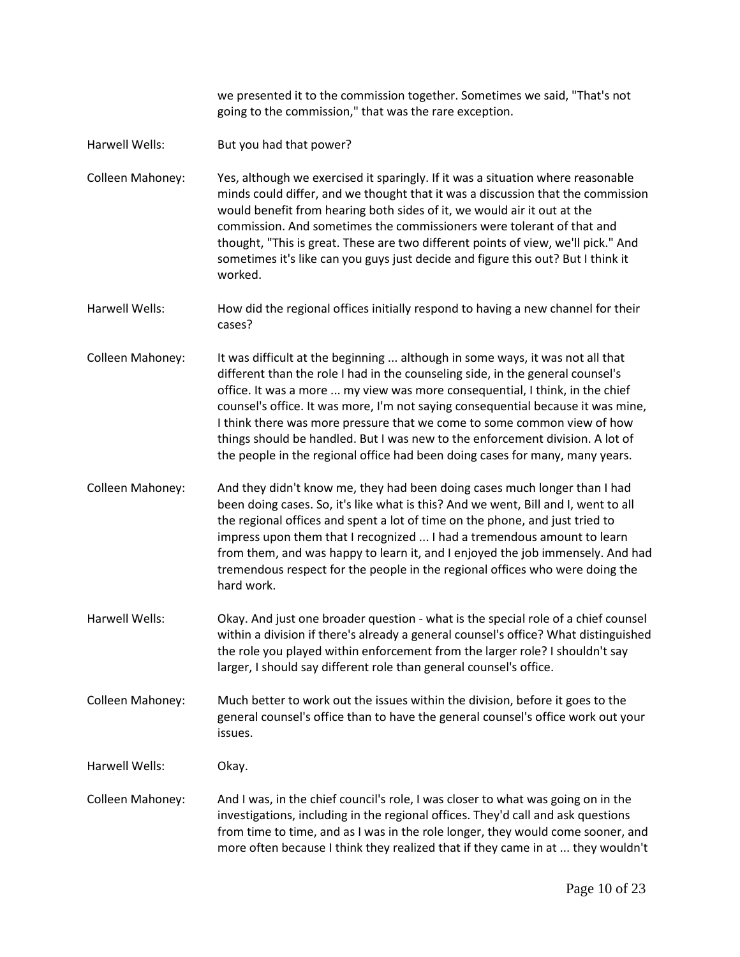we presented it to the commission together. Sometimes we said, "That's not going to the commission," that was the rare exception.

Harwell Wells: But you had that power?

Colleen Mahoney: Yes, although we exercised it sparingly. If it was a situation where reasonable minds could differ, and we thought that it was a discussion that the commission would benefit from hearing both sides of it, we would air it out at the commission. And sometimes the commissioners were tolerant of that and thought, "This is great. These are two different points of view, we'll pick." And sometimes it's like can you guys just decide and figure this out? But I think it worked.

Harwell Wells: How did the regional offices initially respond to having a new channel for their cases?

Colleen Mahoney: It was difficult at the beginning ... although in some ways, it was not all that different than the role I had in the counseling side, in the general counsel's office. It was a more ... my view was more consequential, I think, in the chief counsel's office. It was more, I'm not saying consequential because it was mine, I think there was more pressure that we come to some common view of how things should be handled. But I was new to the enforcement division. A lot of the people in the regional office had been doing cases for many, many years.

Colleen Mahoney: And they didn't know me, they had been doing cases much longer than I had been doing cases. So, it's like what is this? And we went, Bill and I, went to all the regional offices and spent a lot of time on the phone, and just tried to impress upon them that I recognized ... I had a tremendous amount to learn from them, and was happy to learn it, and I enjoyed the job immensely. And had tremendous respect for the people in the regional offices who were doing the hard work.

Harwell Wells: Okay. And just one broader question - what is the special role of a chief counsel within a division if there's already a general counsel's office? What distinguished the role you played within enforcement from the larger role? I shouldn't say larger, I should say different role than general counsel's office.

Colleen Mahoney: Much better to work out the issues within the division, before it goes to the general counsel's office than to have the general counsel's office work out your issues.

Harwell Wells: Okay.

Colleen Mahoney: And I was, in the chief council's role, I was closer to what was going on in the investigations, including in the regional offices. They'd call and ask questions from time to time, and as I was in the role longer, they would come sooner, and more often because I think they realized that if they came in at ... they wouldn't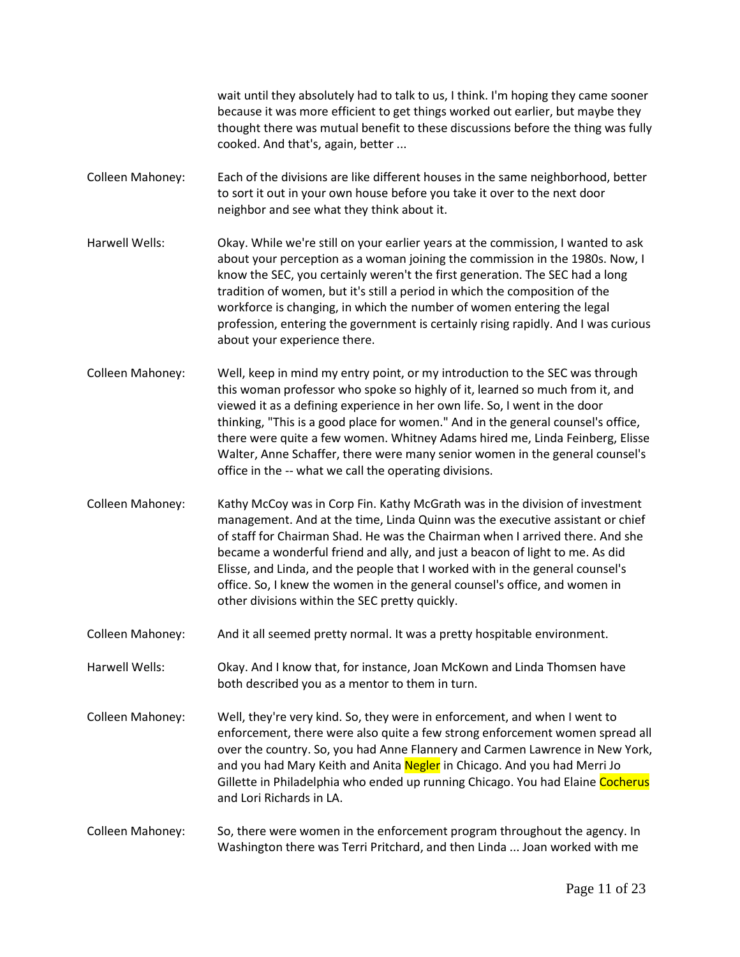wait until they absolutely had to talk to us, I think. I'm hoping they came sooner because it was more efficient to get things worked out earlier, but maybe they thought there was mutual benefit to these discussions before the thing was fully cooked. And that's, again, better ...

- Colleen Mahoney: Each of the divisions are like different houses in the same neighborhood, better to sort it out in your own house before you take it over to the next door neighbor and see what they think about it.
- Harwell Wells: Okay. While we're still on your earlier years at the commission, I wanted to ask about your perception as a woman joining the commission in the 1980s. Now, I know the SEC, you certainly weren't the first generation. The SEC had a long tradition of women, but it's still a period in which the composition of the workforce is changing, in which the number of women entering the legal profession, entering the government is certainly rising rapidly. And I was curious about your experience there.
- Colleen Mahoney: Well, keep in mind my entry point, or my introduction to the SEC was through this woman professor who spoke so highly of it, learned so much from it, and viewed it as a defining experience in her own life. So, I went in the door thinking, "This is a good place for women." And in the general counsel's office, there were quite a few women. Whitney Adams hired me, Linda Feinberg, Elisse Walter, Anne Schaffer, there were many senior women in the general counsel's office in the -- what we call the operating divisions.
- Colleen Mahoney: Kathy McCoy was in Corp Fin. Kathy McGrath was in the division of investment management. And at the time, Linda Quinn was the executive assistant or chief of staff for Chairman Shad. He was the Chairman when I arrived there. And she became a wonderful friend and ally, and just a beacon of light to me. As did Elisse, and Linda, and the people that I worked with in the general counsel's office. So, I knew the women in the general counsel's office, and women in other divisions within the SEC pretty quickly.
- Colleen Mahoney: And it all seemed pretty normal. It was a pretty hospitable environment.
- Harwell Wells: Okay. And I know that, for instance, Joan McKown and Linda Thomsen have both described you as a mentor to them in turn.
- Colleen Mahoney: Well, they're very kind. So, they were in enforcement, and when I went to enforcement, there were also quite a few strong enforcement women spread all over the country. So, you had Anne Flannery and Carmen Lawrence in New York, and you had Mary Keith and Anita Negler in Chicago. And you had Merri Jo Gillette in Philadelphia who ended up running Chicago. You had Elaine Cocherus and Lori Richards in LA.
- Colleen Mahoney: So, there were women in the enforcement program throughout the agency. In Washington there was Terri Pritchard, and then Linda ... Joan worked with me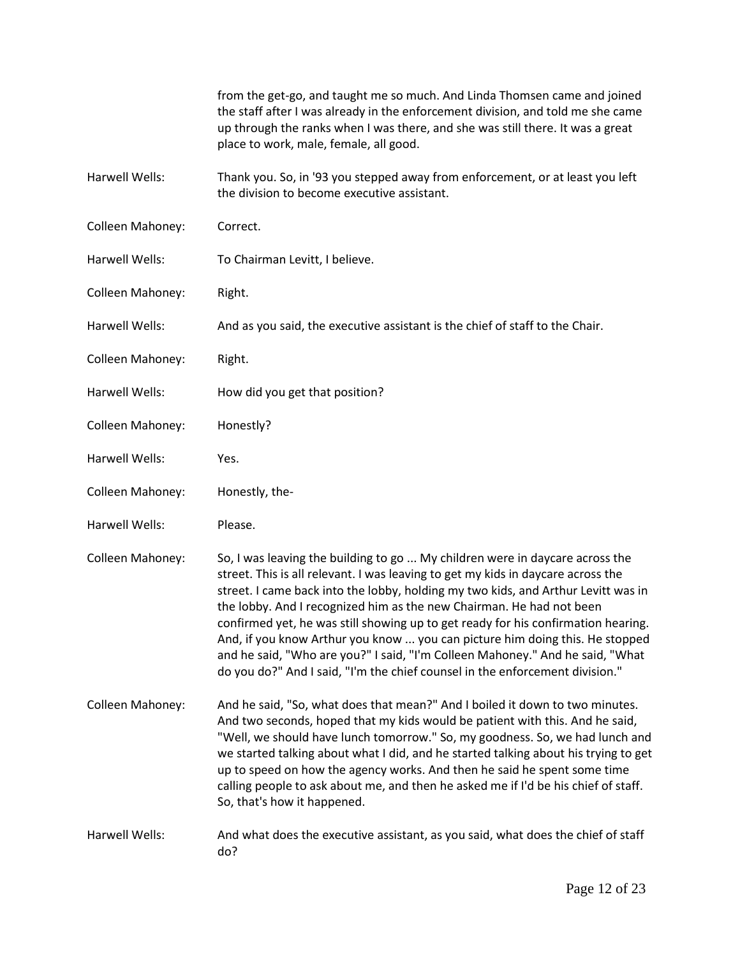|                       | from the get-go, and taught me so much. And Linda Thomsen came and joined<br>the staff after I was already in the enforcement division, and told me she came<br>up through the ranks when I was there, and she was still there. It was a great<br>place to work, male, female, all good.                                                                                                                                                                                                                                                                                                                                                                            |
|-----------------------|---------------------------------------------------------------------------------------------------------------------------------------------------------------------------------------------------------------------------------------------------------------------------------------------------------------------------------------------------------------------------------------------------------------------------------------------------------------------------------------------------------------------------------------------------------------------------------------------------------------------------------------------------------------------|
| Harwell Wells:        | Thank you. So, in '93 you stepped away from enforcement, or at least you left<br>the division to become executive assistant.                                                                                                                                                                                                                                                                                                                                                                                                                                                                                                                                        |
| Colleen Mahoney:      | Correct.                                                                                                                                                                                                                                                                                                                                                                                                                                                                                                                                                                                                                                                            |
| <b>Harwell Wells:</b> | To Chairman Levitt, I believe.                                                                                                                                                                                                                                                                                                                                                                                                                                                                                                                                                                                                                                      |
| Colleen Mahoney:      | Right.                                                                                                                                                                                                                                                                                                                                                                                                                                                                                                                                                                                                                                                              |
| Harwell Wells:        | And as you said, the executive assistant is the chief of staff to the Chair.                                                                                                                                                                                                                                                                                                                                                                                                                                                                                                                                                                                        |
| Colleen Mahoney:      | Right.                                                                                                                                                                                                                                                                                                                                                                                                                                                                                                                                                                                                                                                              |
| Harwell Wells:        | How did you get that position?                                                                                                                                                                                                                                                                                                                                                                                                                                                                                                                                                                                                                                      |
| Colleen Mahoney:      | Honestly?                                                                                                                                                                                                                                                                                                                                                                                                                                                                                                                                                                                                                                                           |
| Harwell Wells:        | Yes.                                                                                                                                                                                                                                                                                                                                                                                                                                                                                                                                                                                                                                                                |
| Colleen Mahoney:      | Honestly, the-                                                                                                                                                                                                                                                                                                                                                                                                                                                                                                                                                                                                                                                      |
| Harwell Wells:        | Please.                                                                                                                                                                                                                                                                                                                                                                                                                                                                                                                                                                                                                                                             |
| Colleen Mahoney:      | So, I was leaving the building to go  My children were in daycare across the<br>street. This is all relevant. I was leaving to get my kids in daycare across the<br>street. I came back into the lobby, holding my two kids, and Arthur Levitt was in<br>the lobby. And I recognized him as the new Chairman. He had not been<br>confirmed yet, he was still showing up to get ready for his confirmation hearing.<br>And, if you know Arthur you know  you can picture him doing this. He stopped<br>and he said, "Who are you?" I said, "I'm Colleen Mahoney." And he said, "What<br>do you do?" And I said, "I'm the chief counsel in the enforcement division." |
| Colleen Mahoney:      | And he said, "So, what does that mean?" And I boiled it down to two minutes.<br>And two seconds, hoped that my kids would be patient with this. And he said,<br>"Well, we should have lunch tomorrow." So, my goodness. So, we had lunch and<br>we started talking about what I did, and he started talking about his trying to get<br>up to speed on how the agency works. And then he said he spent some time<br>calling people to ask about me, and then he asked me if I'd be his chief of staff.<br>So, that's how it happened.                                                                                                                                |
| Harwell Wells:        | And what does the executive assistant, as you said, what does the chief of staff<br>do?                                                                                                                                                                                                                                                                                                                                                                                                                                                                                                                                                                             |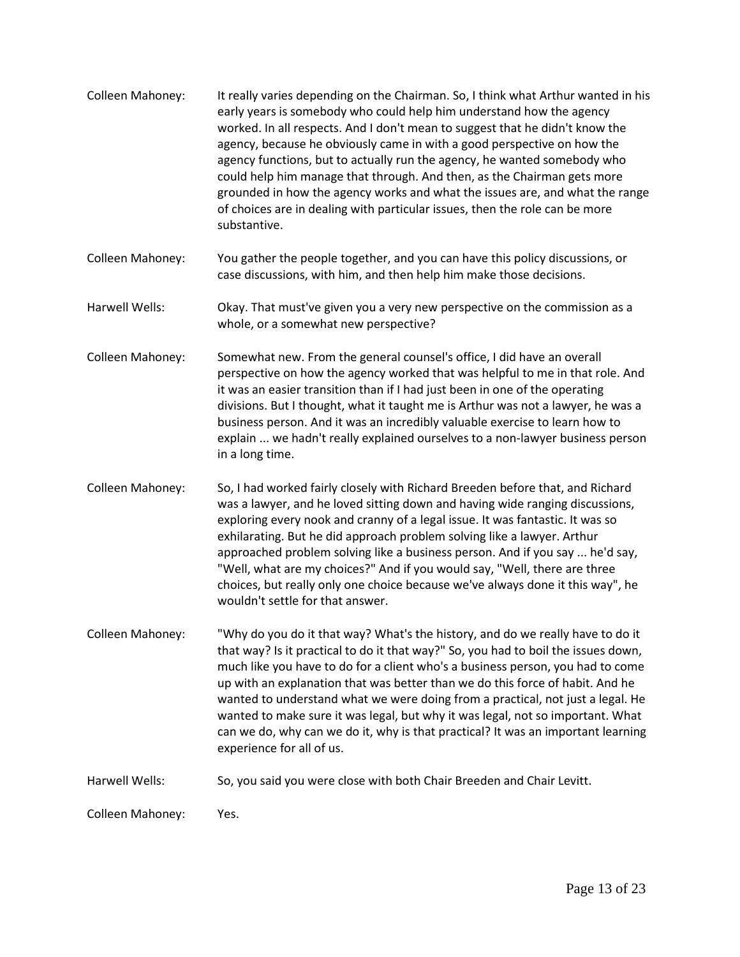| Colleen Mahoney: | It really varies depending on the Chairman. So, I think what Arthur wanted in his<br>early years is somebody who could help him understand how the agency<br>worked. In all respects. And I don't mean to suggest that he didn't know the<br>agency, because he obviously came in with a good perspective on how the<br>agency functions, but to actually run the agency, he wanted somebody who<br>could help him manage that through. And then, as the Chairman gets more<br>grounded in how the agency works and what the issues are, and what the range<br>of choices are in dealing with particular issues, then the role can be more<br>substantive. |
|------------------|------------------------------------------------------------------------------------------------------------------------------------------------------------------------------------------------------------------------------------------------------------------------------------------------------------------------------------------------------------------------------------------------------------------------------------------------------------------------------------------------------------------------------------------------------------------------------------------------------------------------------------------------------------|
| Colleen Mahoney: | You gather the people together, and you can have this policy discussions, or<br>case discussions, with him, and then help him make those decisions.                                                                                                                                                                                                                                                                                                                                                                                                                                                                                                        |
| Harwell Wells:   | Okay. That must've given you a very new perspective on the commission as a<br>whole, or a somewhat new perspective?                                                                                                                                                                                                                                                                                                                                                                                                                                                                                                                                        |
| Colleen Mahoney: | Somewhat new. From the general counsel's office, I did have an overall<br>perspective on how the agency worked that was helpful to me in that role. And<br>it was an easier transition than if I had just been in one of the operating<br>divisions. But I thought, what it taught me is Arthur was not a lawyer, he was a<br>business person. And it was an incredibly valuable exercise to learn how to<br>explain  we hadn't really explained ourselves to a non-lawyer business person<br>in a long time.                                                                                                                                              |
| Colleen Mahoney: | So, I had worked fairly closely with Richard Breeden before that, and Richard<br>was a lawyer, and he loved sitting down and having wide ranging discussions,<br>exploring every nook and cranny of a legal issue. It was fantastic. It was so<br>exhilarating. But he did approach problem solving like a lawyer. Arthur<br>approached problem solving like a business person. And if you say  he'd say,<br>"Well, what are my choices?" And if you would say, "Well, there are three<br>choices, but really only one choice because we've always done it this way", he<br>wouldn't settle for that answer.                                               |
| Colleen Mahoney: | "Why do you do it that way? What's the history, and do we really have to do it<br>that way? Is it practical to do it that way?" So, you had to boil the issues down,<br>much like you have to do for a client who's a business person, you had to come<br>up with an explanation that was better than we do this force of habit. And he<br>wanted to understand what we were doing from a practical, not just a legal. He<br>wanted to make sure it was legal, but why it was legal, not so important. What<br>can we do, why can we do it, why is that practical? It was an important learning<br>experience for all of us.                               |
| Harwell Wells:   | So, you said you were close with both Chair Breeden and Chair Levitt.                                                                                                                                                                                                                                                                                                                                                                                                                                                                                                                                                                                      |
| Colleen Mahoney: | Yes.                                                                                                                                                                                                                                                                                                                                                                                                                                                                                                                                                                                                                                                       |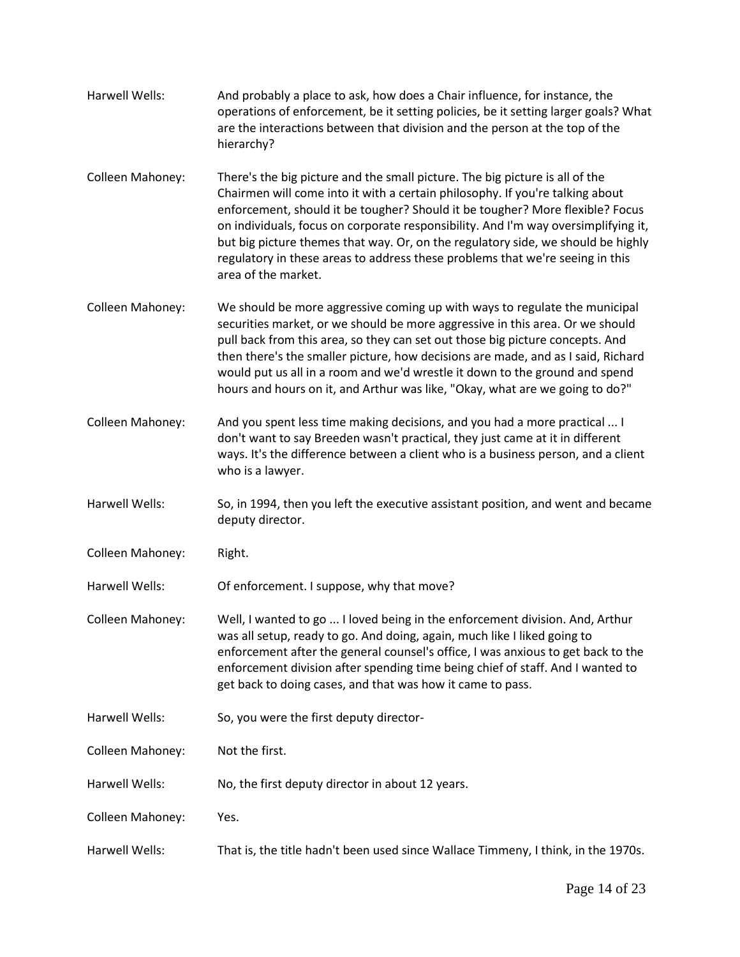| Harwell Wells:   | And probably a place to ask, how does a Chair influence, for instance, the<br>operations of enforcement, be it setting policies, be it setting larger goals? What<br>are the interactions between that division and the person at the top of the<br>hierarchy?                                                                                                                                                                                                                                                                   |
|------------------|----------------------------------------------------------------------------------------------------------------------------------------------------------------------------------------------------------------------------------------------------------------------------------------------------------------------------------------------------------------------------------------------------------------------------------------------------------------------------------------------------------------------------------|
| Colleen Mahoney: | There's the big picture and the small picture. The big picture is all of the<br>Chairmen will come into it with a certain philosophy. If you're talking about<br>enforcement, should it be tougher? Should it be tougher? More flexible? Focus<br>on individuals, focus on corporate responsibility. And I'm way oversimplifying it,<br>but big picture themes that way. Or, on the regulatory side, we should be highly<br>regulatory in these areas to address these problems that we're seeing in this<br>area of the market. |
| Colleen Mahoney: | We should be more aggressive coming up with ways to regulate the municipal<br>securities market, or we should be more aggressive in this area. Or we should<br>pull back from this area, so they can set out those big picture concepts. And<br>then there's the smaller picture, how decisions are made, and as I said, Richard<br>would put us all in a room and we'd wrestle it down to the ground and spend<br>hours and hours on it, and Arthur was like, "Okay, what are we going to do?"                                  |
| Colleen Mahoney: | And you spent less time making decisions, and you had a more practical  I<br>don't want to say Breeden wasn't practical, they just came at it in different<br>ways. It's the difference between a client who is a business person, and a client<br>who is a lawyer.                                                                                                                                                                                                                                                              |
| Harwell Wells:   | So, in 1994, then you left the executive assistant position, and went and became<br>deputy director.                                                                                                                                                                                                                                                                                                                                                                                                                             |
| Colleen Mahoney: | Right.                                                                                                                                                                                                                                                                                                                                                                                                                                                                                                                           |
| Harwell Wells:   | Of enforcement. I suppose, why that move?                                                                                                                                                                                                                                                                                                                                                                                                                                                                                        |
| Colleen Mahoney: | Well, I wanted to go  I loved being in the enforcement division. And, Arthur<br>was all setup, ready to go. And doing, again, much like I liked going to<br>enforcement after the general counsel's office, I was anxious to get back to the<br>enforcement division after spending time being chief of staff. And I wanted to<br>get back to doing cases, and that was how it came to pass.                                                                                                                                     |
| Harwell Wells:   | So, you were the first deputy director-                                                                                                                                                                                                                                                                                                                                                                                                                                                                                          |
| Colleen Mahoney: | Not the first.                                                                                                                                                                                                                                                                                                                                                                                                                                                                                                                   |
| Harwell Wells:   | No, the first deputy director in about 12 years.                                                                                                                                                                                                                                                                                                                                                                                                                                                                                 |
| Colleen Mahoney: | Yes.                                                                                                                                                                                                                                                                                                                                                                                                                                                                                                                             |
| Harwell Wells:   | That is, the title hadn't been used since Wallace Timmeny, I think, in the 1970s.                                                                                                                                                                                                                                                                                                                                                                                                                                                |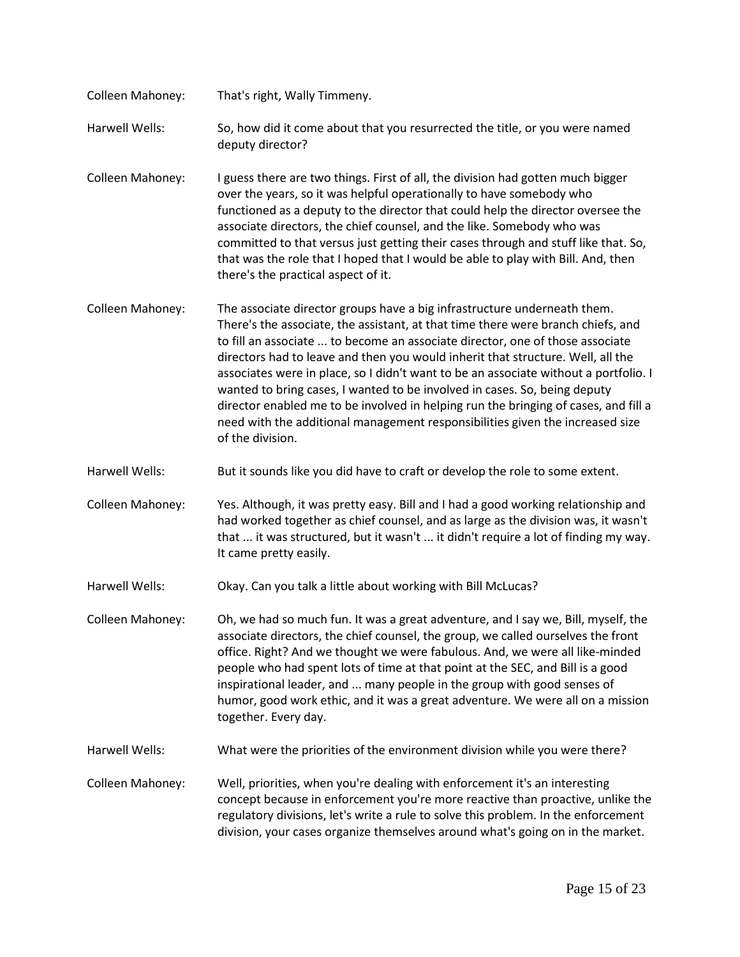- Colleen Mahoney: That's right, Wally Timmeny. Harwell Wells: So, how did it come about that you resurrected the title, or you were named deputy director? Colleen Mahoney: I guess there are two things. First of all, the division had gotten much bigger over the years, so it was helpful operationally to have somebody who functioned as a deputy to the director that could help the director oversee the associate directors, the chief counsel, and the like. Somebody who was committed to that versus just getting their cases through and stuff like that. So, that was the role that I hoped that I would be able to play with Bill. And, then there's the practical aspect of it. Colleen Mahoney: The associate director groups have a big infrastructure underneath them. There's the associate, the assistant, at that time there were branch chiefs, and to fill an associate ... to become an associate director, one of those associate directors had to leave and then you would inherit that structure. Well, all the associates were in place, so I didn't want to be an associate without a portfolio. I
	- wanted to bring cases, I wanted to be involved in cases. So, being deputy director enabled me to be involved in helping run the bringing of cases, and fill a need with the additional management responsibilities given the increased size of the division.
- Harwell Wells: But it sounds like you did have to craft or develop the role to some extent.

Colleen Mahoney: Yes. Although, it was pretty easy. Bill and I had a good working relationship and had worked together as chief counsel, and as large as the division was, it wasn't that ... it was structured, but it wasn't ... it didn't require a lot of finding my way. It came pretty easily.

- Harwell Wells: Okay. Can you talk a little about working with Bill McLucas?
- Colleen Mahoney: Oh, we had so much fun. It was a great adventure, and I say we, Bill, myself, the associate directors, the chief counsel, the group, we called ourselves the front office. Right? And we thought we were fabulous. And, we were all like-minded people who had spent lots of time at that point at the SEC, and Bill is a good inspirational leader, and ... many people in the group with good senses of humor, good work ethic, and it was a great adventure. We were all on a mission together. Every day.
- Harwell Wells: What were the priorities of the environment division while you were there?
- Colleen Mahoney: Well, priorities, when you're dealing with enforcement it's an interesting concept because in enforcement you're more reactive than proactive, unlike the regulatory divisions, let's write a rule to solve this problem. In the enforcement division, your cases organize themselves around what's going on in the market.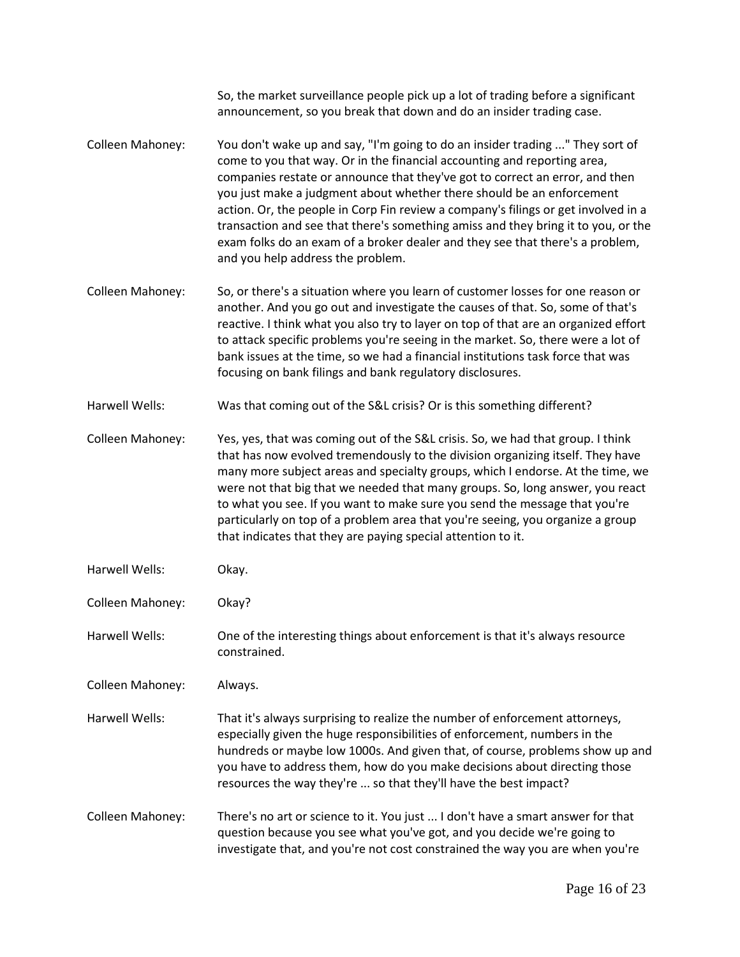|                  | So, the market surveillance people pick up a lot of trading before a significant<br>announcement, so you break that down and do an insider trading case.                                                                                                                                                                                                                                                                                                                                                                                                                                                            |
|------------------|---------------------------------------------------------------------------------------------------------------------------------------------------------------------------------------------------------------------------------------------------------------------------------------------------------------------------------------------------------------------------------------------------------------------------------------------------------------------------------------------------------------------------------------------------------------------------------------------------------------------|
| Colleen Mahoney: | You don't wake up and say, "I'm going to do an insider trading " They sort of<br>come to you that way. Or in the financial accounting and reporting area,<br>companies restate or announce that they've got to correct an error, and then<br>you just make a judgment about whether there should be an enforcement<br>action. Or, the people in Corp Fin review a company's filings or get involved in a<br>transaction and see that there's something amiss and they bring it to you, or the<br>exam folks do an exam of a broker dealer and they see that there's a problem,<br>and you help address the problem. |
| Colleen Mahoney: | So, or there's a situation where you learn of customer losses for one reason or<br>another. And you go out and investigate the causes of that. So, some of that's<br>reactive. I think what you also try to layer on top of that are an organized effort<br>to attack specific problems you're seeing in the market. So, there were a lot of<br>bank issues at the time, so we had a financial institutions task force that was<br>focusing on bank filings and bank regulatory disclosures.                                                                                                                        |
| Harwell Wells:   | Was that coming out of the S&L crisis? Or is this something different?                                                                                                                                                                                                                                                                                                                                                                                                                                                                                                                                              |
| Colleen Mahoney: | Yes, yes, that was coming out of the S&L crisis. So, we had that group. I think<br>that has now evolved tremendously to the division organizing itself. They have<br>many more subject areas and specialty groups, which I endorse. At the time, we<br>were not that big that we needed that many groups. So, long answer, you react<br>to what you see. If you want to make sure you send the message that you're<br>particularly on top of a problem area that you're seeing, you organize a group<br>that indicates that they are paying special attention to it.                                                |
| Harwell Wells:   | Okay.                                                                                                                                                                                                                                                                                                                                                                                                                                                                                                                                                                                                               |
| Colleen Mahoney: | Okay?                                                                                                                                                                                                                                                                                                                                                                                                                                                                                                                                                                                                               |
| Harwell Wells:   | One of the interesting things about enforcement is that it's always resource<br>constrained.                                                                                                                                                                                                                                                                                                                                                                                                                                                                                                                        |
| Colleen Mahoney: | Always.                                                                                                                                                                                                                                                                                                                                                                                                                                                                                                                                                                                                             |
| Harwell Wells:   | That it's always surprising to realize the number of enforcement attorneys,<br>especially given the huge responsibilities of enforcement, numbers in the<br>hundreds or maybe low 1000s. And given that, of course, problems show up and<br>you have to address them, how do you make decisions about directing those<br>resources the way they're  so that they'll have the best impact?                                                                                                                                                                                                                           |
| Colleen Mahoney: | There's no art or science to it. You just  I don't have a smart answer for that<br>question because you see what you've got, and you decide we're going to<br>investigate that, and you're not cost constrained the way you are when you're                                                                                                                                                                                                                                                                                                                                                                         |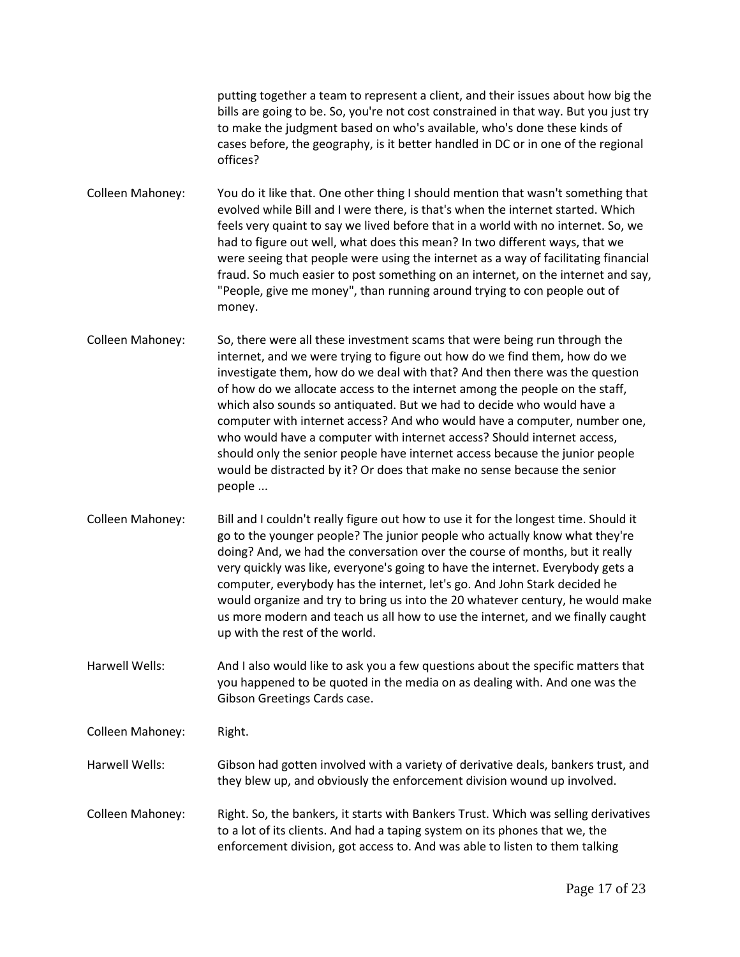putting together a team to represent a client, and their issues about how big the bills are going to be. So, you're not cost constrained in that way. But you just try to make the judgment based on who's available, who's done these kinds of cases before, the geography, is it better handled in DC or in one of the regional offices?

Colleen Mahoney: You do it like that. One other thing I should mention that wasn't something that evolved while Bill and I were there, is that's when the internet started. Which feels very quaint to say we lived before that in a world with no internet. So, we had to figure out well, what does this mean? In two different ways, that we were seeing that people were using the internet as a way of facilitating financial fraud. So much easier to post something on an internet, on the internet and say, "People, give me money", than running around trying to con people out of money.

Colleen Mahoney: So, there were all these investment scams that were being run through the internet, and we were trying to figure out how do we find them, how do we investigate them, how do we deal with that? And then there was the question of how do we allocate access to the internet among the people on the staff, which also sounds so antiquated. But we had to decide who would have a computer with internet access? And who would have a computer, number one, who would have a computer with internet access? Should internet access, should only the senior people have internet access because the junior people would be distracted by it? Or does that make no sense because the senior people ...

Colleen Mahoney: Bill and I couldn't really figure out how to use it for the longest time. Should it go to the younger people? The junior people who actually know what they're doing? And, we had the conversation over the course of months, but it really very quickly was like, everyone's going to have the internet. Everybody gets a computer, everybody has the internet, let's go. And John Stark decided he would organize and try to bring us into the 20 whatever century, he would make us more modern and teach us all how to use the internet, and we finally caught up with the rest of the world.

Harwell Wells: And I also would like to ask you a few questions about the specific matters that you happened to be quoted in the media on as dealing with. And one was the Gibson Greetings Cards case.

Colleen Mahoney: Right.

Harwell Wells: Gibson had gotten involved with a variety of derivative deals, bankers trust, and they blew up, and obviously the enforcement division wound up involved.

Colleen Mahoney: Right. So, the bankers, it starts with Bankers Trust. Which was selling derivatives to a lot of its clients. And had a taping system on its phones that we, the enforcement division, got access to. And was able to listen to them talking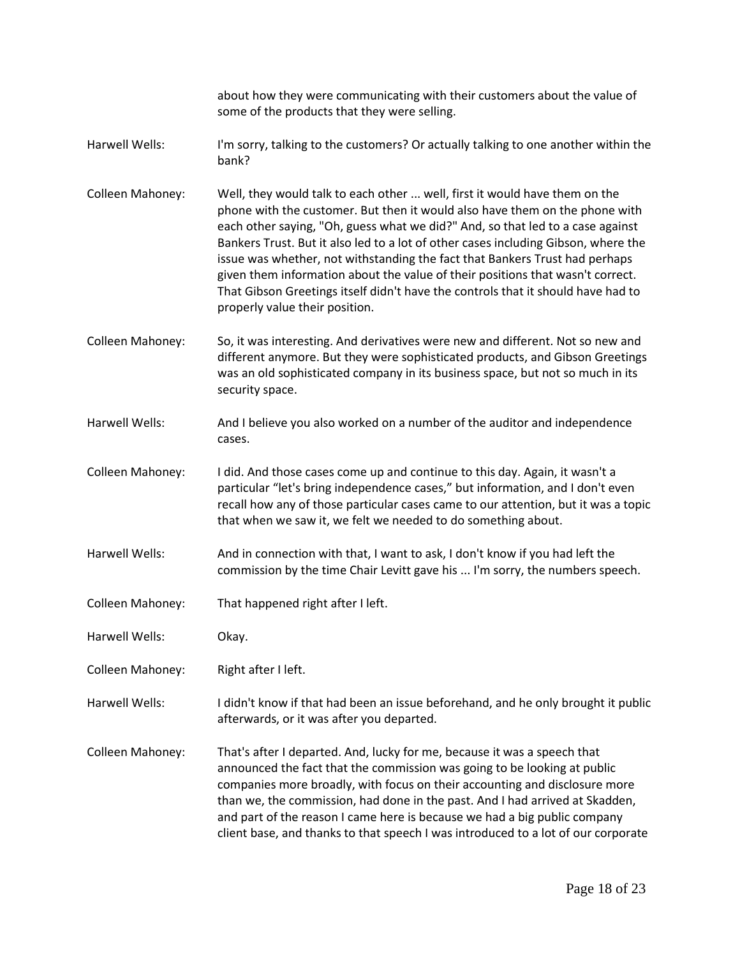about how they were communicating with their customers about the value of some of the products that they were selling.

- Harwell Wells: I'm sorry, talking to the customers? Or actually talking to one another within the bank?
- Colleen Mahoney: Well, they would talk to each other ... well, first it would have them on the phone with the customer. But then it would also have them on the phone with each other saying, "Oh, guess what we did?" And, so that led to a case against Bankers Trust. But it also led to a lot of other cases including Gibson, where the issue was whether, not withstanding the fact that Bankers Trust had perhaps given them information about the value of their positions that wasn't correct. That Gibson Greetings itself didn't have the controls that it should have had to properly value their position.
- Colleen Mahoney: So, it was interesting. And derivatives were new and different. Not so new and different anymore. But they were sophisticated products, and Gibson Greetings was an old sophisticated company in its business space, but not so much in its security space.
- Harwell Wells: And I believe you also worked on a number of the auditor and independence cases.
- Colleen Mahoney: I did. And those cases come up and continue to this day. Again, it wasn't a particular "let's bring independence cases," but information, and I don't even recall how any of those particular cases came to our attention, but it was a topic that when we saw it, we felt we needed to do something about.
- Harwell Wells: And in connection with that, I want to ask, I don't know if you had left the commission by the time Chair Levitt gave his ... I'm sorry, the numbers speech.
- Colleen Mahoney: That happened right after I left.
- Harwell Wells: Okay.
- Colleen Mahoney: Right after I left.
- Harwell Wells: I didn't know if that had been an issue beforehand, and he only brought it public afterwards, or it was after you departed.
- Colleen Mahoney: That's after I departed. And, lucky for me, because it was a speech that announced the fact that the commission was going to be looking at public companies more broadly, with focus on their accounting and disclosure more than we, the commission, had done in the past. And I had arrived at Skadden, and part of the reason I came here is because we had a big public company client base, and thanks to that speech I was introduced to a lot of our corporate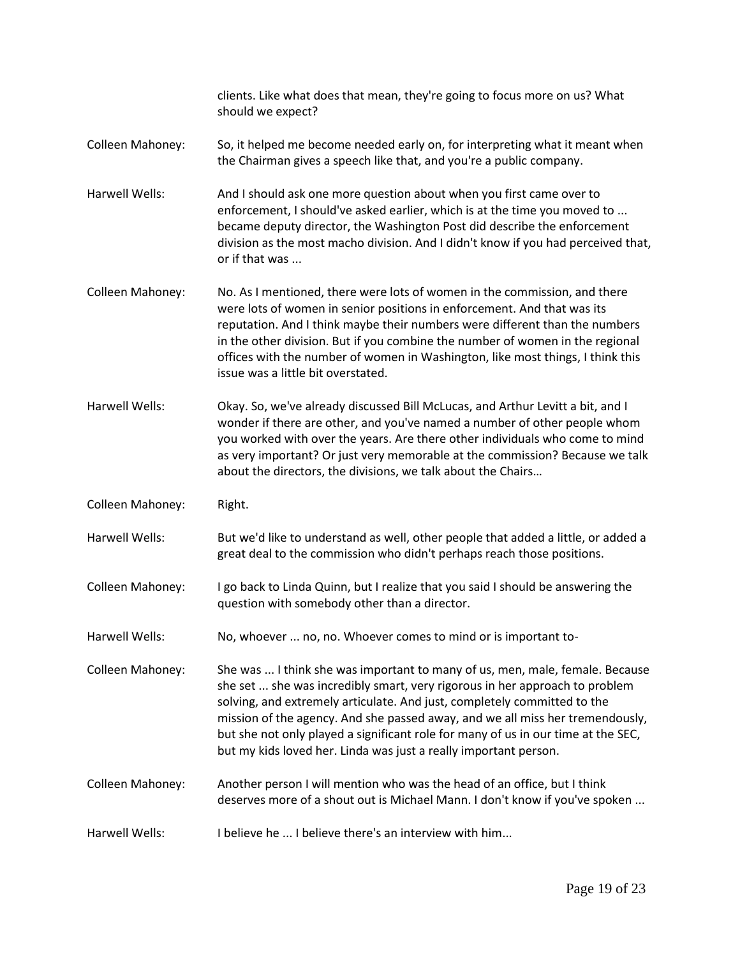|                  | clients. Like what does that mean, they're going to focus more on us? What<br>should we expect?                                                                                                                                                                                                                                                                                                                                                                                   |
|------------------|-----------------------------------------------------------------------------------------------------------------------------------------------------------------------------------------------------------------------------------------------------------------------------------------------------------------------------------------------------------------------------------------------------------------------------------------------------------------------------------|
| Colleen Mahoney: | So, it helped me become needed early on, for interpreting what it meant when<br>the Chairman gives a speech like that, and you're a public company.                                                                                                                                                                                                                                                                                                                               |
| Harwell Wells:   | And I should ask one more question about when you first came over to<br>enforcement, I should've asked earlier, which is at the time you moved to<br>became deputy director, the Washington Post did describe the enforcement<br>division as the most macho division. And I didn't know if you had perceived that,<br>or if that was                                                                                                                                              |
| Colleen Mahoney: | No. As I mentioned, there were lots of women in the commission, and there<br>were lots of women in senior positions in enforcement. And that was its<br>reputation. And I think maybe their numbers were different than the numbers<br>in the other division. But if you combine the number of women in the regional<br>offices with the number of women in Washington, like most things, I think this<br>issue was a little bit overstated.                                      |
| Harwell Wells:   | Okay. So, we've already discussed Bill McLucas, and Arthur Levitt a bit, and I<br>wonder if there are other, and you've named a number of other people whom<br>you worked with over the years. Are there other individuals who come to mind<br>as very important? Or just very memorable at the commission? Because we talk<br>about the directors, the divisions, we talk about the Chairs                                                                                       |
| Colleen Mahoney: | Right.                                                                                                                                                                                                                                                                                                                                                                                                                                                                            |
| Harwell Wells:   | But we'd like to understand as well, other people that added a little, or added a<br>great deal to the commission who didn't perhaps reach those positions.                                                                                                                                                                                                                                                                                                                       |
| Colleen Mahoney: | I go back to Linda Quinn, but I realize that you said I should be answering the<br>question with somebody other than a director.                                                                                                                                                                                                                                                                                                                                                  |
| Harwell Wells:   | No, whoever  no, no. Whoever comes to mind or is important to-                                                                                                                                                                                                                                                                                                                                                                                                                    |
| Colleen Mahoney: | She was  I think she was important to many of us, men, male, female. Because<br>she set  she was incredibly smart, very rigorous in her approach to problem<br>solving, and extremely articulate. And just, completely committed to the<br>mission of the agency. And she passed away, and we all miss her tremendously,<br>but she not only played a significant role for many of us in our time at the SEC,<br>but my kids loved her. Linda was just a really important person. |
| Colleen Mahoney: | Another person I will mention who was the head of an office, but I think<br>deserves more of a shout out is Michael Mann. I don't know if you've spoken                                                                                                                                                                                                                                                                                                                           |
| Harwell Wells:   | I believe he  I believe there's an interview with him                                                                                                                                                                                                                                                                                                                                                                                                                             |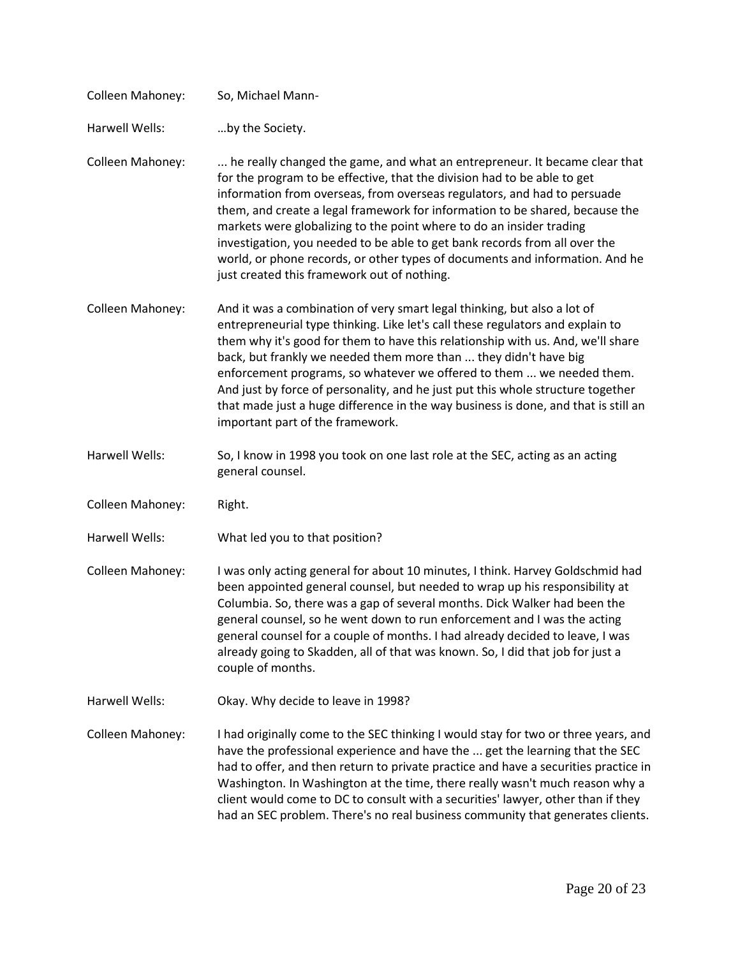| Colleen Mahoney: | So, Michael Mann-                                                                                                                                                                                                                                                                                                                                                                                                                                                                                                                                                                                       |
|------------------|---------------------------------------------------------------------------------------------------------------------------------------------------------------------------------------------------------------------------------------------------------------------------------------------------------------------------------------------------------------------------------------------------------------------------------------------------------------------------------------------------------------------------------------------------------------------------------------------------------|
| Harwell Wells:   | by the Society.                                                                                                                                                                                                                                                                                                                                                                                                                                                                                                                                                                                         |
| Colleen Mahoney: | he really changed the game, and what an entrepreneur. It became clear that<br>for the program to be effective, that the division had to be able to get<br>information from overseas, from overseas regulators, and had to persuade<br>them, and create a legal framework for information to be shared, because the<br>markets were globalizing to the point where to do an insider trading<br>investigation, you needed to be able to get bank records from all over the<br>world, or phone records, or other types of documents and information. And he<br>just created this framework out of nothing. |
| Colleen Mahoney: | And it was a combination of very smart legal thinking, but also a lot of<br>entrepreneurial type thinking. Like let's call these regulators and explain to<br>them why it's good for them to have this relationship with us. And, we'll share<br>back, but frankly we needed them more than  they didn't have big<br>enforcement programs, so whatever we offered to them  we needed them.<br>And just by force of personality, and he just put this whole structure together<br>that made just a huge difference in the way business is done, and that is still an<br>important part of the framework. |
| Harwell Wells:   | So, I know in 1998 you took on one last role at the SEC, acting as an acting<br>general counsel.                                                                                                                                                                                                                                                                                                                                                                                                                                                                                                        |
| Colleen Mahoney: | Right.                                                                                                                                                                                                                                                                                                                                                                                                                                                                                                                                                                                                  |
| Harwell Wells:   | What led you to that position?                                                                                                                                                                                                                                                                                                                                                                                                                                                                                                                                                                          |
| Colleen Mahoney: | I was only acting general for about 10 minutes, I think. Harvey Goldschmid had<br>been appointed general counsel, but needed to wrap up his responsibility at<br>Columbia. So, there was a gap of several months. Dick Walker had been the<br>general counsel, so he went down to run enforcement and I was the acting<br>general counsel for a couple of months. I had already decided to leave, I was<br>already going to Skadden, all of that was known. So, I did that job for just a<br>couple of months.                                                                                          |
| Harwell Wells:   | Okay. Why decide to leave in 1998?                                                                                                                                                                                                                                                                                                                                                                                                                                                                                                                                                                      |
| Colleen Mahoney: | I had originally come to the SEC thinking I would stay for two or three years, and<br>have the professional experience and have the  get the learning that the SEC<br>had to offer, and then return to private practice and have a securities practice in<br>Washington. In Washington at the time, there really wasn't much reason why a<br>client would come to DC to consult with a securities' lawyer, other than if they<br>had an SEC problem. There's no real business community that generates clients.                                                                                         |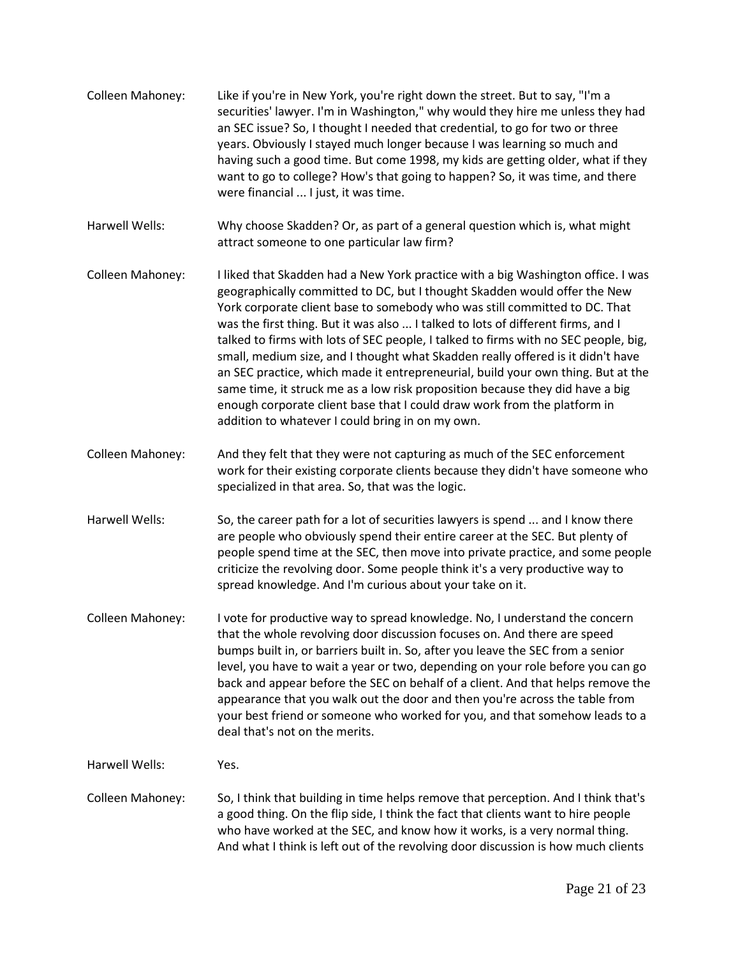Colleen Mahoney: Like if you're in New York, you're right down the street. But to say, "I'm a securities' lawyer. I'm in Washington," why would they hire me unless they had an SEC issue? So, I thought I needed that credential, to go for two or three years. Obviously I stayed much longer because I was learning so much and having such a good time. But come 1998, my kids are getting older, what if they want to go to college? How's that going to happen? So, it was time, and there were financial ... I just, it was time. Harwell Wells: Why choose Skadden? Or, as part of a general question which is, what might attract someone to one particular law firm? Colleen Mahoney: I liked that Skadden had a New York practice with a big Washington office. I was geographically committed to DC, but I thought Skadden would offer the New York corporate client base to somebody who was still committed to DC. That was the first thing. But it was also ... I talked to lots of different firms, and I talked to firms with lots of SEC people, I talked to firms with no SEC people, big, small, medium size, and I thought what Skadden really offered is it didn't have an SEC practice, which made it entrepreneurial, build your own thing. But at the same time, it struck me as a low risk proposition because they did have a big enough corporate client base that I could draw work from the platform in addition to whatever I could bring in on my own. Colleen Mahoney: And they felt that they were not capturing as much of the SEC enforcement work for their existing corporate clients because they didn't have someone who specialized in that area. So, that was the logic. Harwell Wells: So, the career path for a lot of securities lawyers is spend ... and I know there are people who obviously spend their entire career at the SEC. But plenty of people spend time at the SEC, then move into private practice, and some people criticize the revolving door. Some people think it's a very productive way to spread knowledge. And I'm curious about your take on it. Colleen Mahoney: I vote for productive way to spread knowledge. No, I understand the concern that the whole revolving door discussion focuses on. And there are speed bumps built in, or barriers built in. So, after you leave the SEC from a senior level, you have to wait a year or two, depending on your role before you can go back and appear before the SEC on behalf of a client. And that helps remove the appearance that you walk out the door and then you're across the table from your best friend or someone who worked for you, and that somehow leads to a deal that's not on the merits. Harwell Wells: Yes. Colleen Mahoney: So, I think that building in time helps remove that perception. And I think that's a good thing. On the flip side, I think the fact that clients want to hire people who have worked at the SEC, and know how it works, is a very normal thing. And what I think is left out of the revolving door discussion is how much clients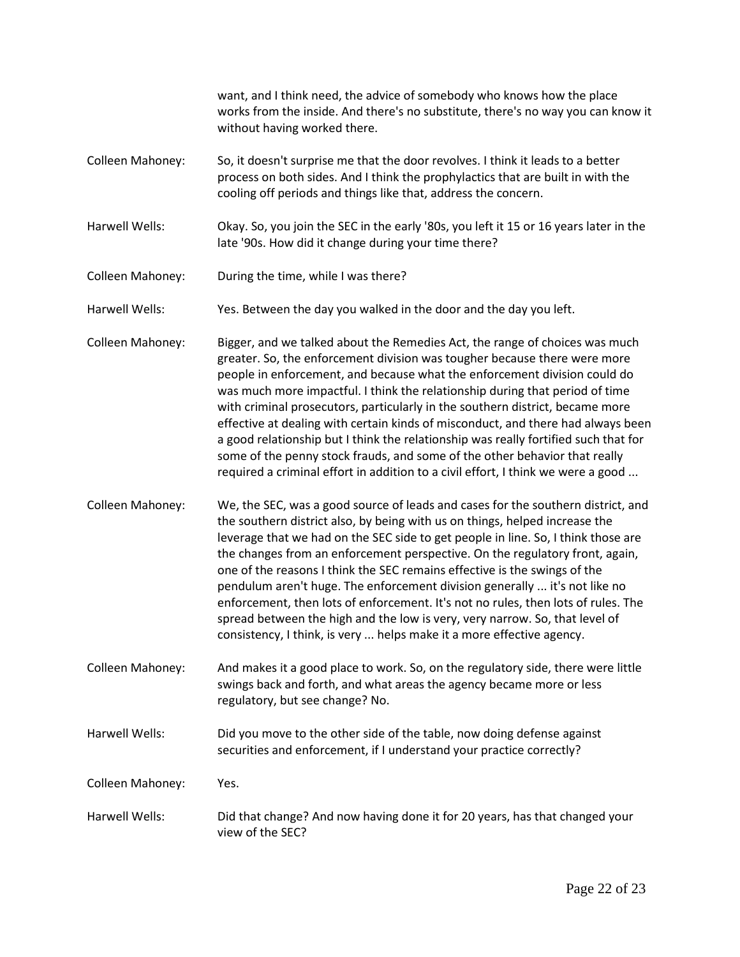|                  | want, and I think need, the advice of somebody who knows how the place<br>works from the inside. And there's no substitute, there's no way you can know it<br>without having worked there.                                                                                                                                                                                                                                                                                                                                                                                                                                                                                                                                                          |
|------------------|-----------------------------------------------------------------------------------------------------------------------------------------------------------------------------------------------------------------------------------------------------------------------------------------------------------------------------------------------------------------------------------------------------------------------------------------------------------------------------------------------------------------------------------------------------------------------------------------------------------------------------------------------------------------------------------------------------------------------------------------------------|
| Colleen Mahoney: | So, it doesn't surprise me that the door revolves. I think it leads to a better<br>process on both sides. And I think the prophylactics that are built in with the<br>cooling off periods and things like that, address the concern.                                                                                                                                                                                                                                                                                                                                                                                                                                                                                                                |
| Harwell Wells:   | Okay. So, you join the SEC in the early '80s, you left it 15 or 16 years later in the<br>late '90s. How did it change during your time there?                                                                                                                                                                                                                                                                                                                                                                                                                                                                                                                                                                                                       |
| Colleen Mahoney: | During the time, while I was there?                                                                                                                                                                                                                                                                                                                                                                                                                                                                                                                                                                                                                                                                                                                 |
| Harwell Wells:   | Yes. Between the day you walked in the door and the day you left.                                                                                                                                                                                                                                                                                                                                                                                                                                                                                                                                                                                                                                                                                   |
| Colleen Mahoney: | Bigger, and we talked about the Remedies Act, the range of choices was much<br>greater. So, the enforcement division was tougher because there were more<br>people in enforcement, and because what the enforcement division could do<br>was much more impactful. I think the relationship during that period of time<br>with criminal prosecutors, particularly in the southern district, became more<br>effective at dealing with certain kinds of misconduct, and there had always been<br>a good relationship but I think the relationship was really fortified such that for<br>some of the penny stock frauds, and some of the other behavior that really<br>required a criminal effort in addition to a civil effort, I think we were a good |
| Colleen Mahoney: | We, the SEC, was a good source of leads and cases for the southern district, and<br>the southern district also, by being with us on things, helped increase the<br>leverage that we had on the SEC side to get people in line. So, I think those are<br>the changes from an enforcement perspective. On the regulatory front, again,<br>one of the reasons I think the SEC remains effective is the swings of the<br>pendulum aren't huge. The enforcement division generally  it's not like no<br>enforcement, then lots of enforcement. It's not no rules, then lots of rules. The<br>spread between the high and the low is very, very narrow. So, that level of<br>consistency, I think, is very  helps make it a more effective agency.        |
| Colleen Mahoney: | And makes it a good place to work. So, on the regulatory side, there were little<br>swings back and forth, and what areas the agency became more or less<br>regulatory, but see change? No.                                                                                                                                                                                                                                                                                                                                                                                                                                                                                                                                                         |
| Harwell Wells:   | Did you move to the other side of the table, now doing defense against<br>securities and enforcement, if I understand your practice correctly?                                                                                                                                                                                                                                                                                                                                                                                                                                                                                                                                                                                                      |
| Colleen Mahoney: | Yes.                                                                                                                                                                                                                                                                                                                                                                                                                                                                                                                                                                                                                                                                                                                                                |
| Harwell Wells:   | Did that change? And now having done it for 20 years, has that changed your<br>view of the SEC?                                                                                                                                                                                                                                                                                                                                                                                                                                                                                                                                                                                                                                                     |